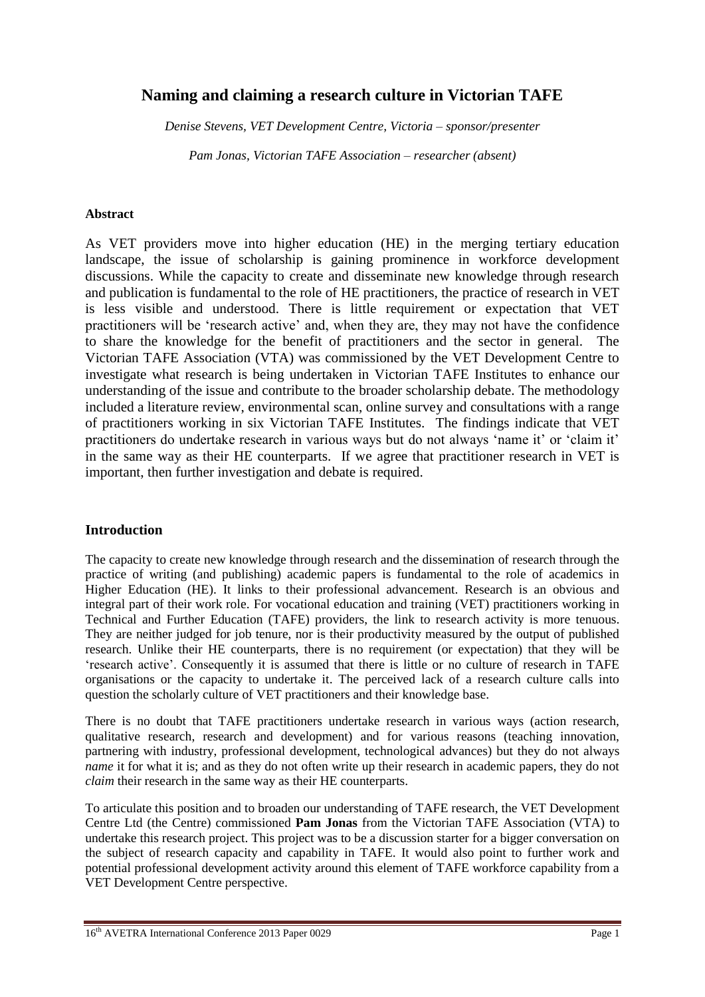# **Naming and claiming a research culture in Victorian TAFE**

*Denise Stevens, VET Development Centre, Victoria – sponsor/presenter*

*Pam Jonas, Victorian TAFE Association – researcher (absent)*

#### **Abstract**

As VET providers move into higher education (HE) in the merging tertiary education landscape, the issue of scholarship is gaining prominence in workforce development discussions. While the capacity to create and disseminate new knowledge through research and publication is fundamental to the role of HE practitioners, the practice of research in VET is less visible and understood. There is little requirement or expectation that VET practitioners will be 'research active' and, when they are, they may not have the confidence to share the knowledge for the benefit of practitioners and the sector in general. The Victorian TAFE Association (VTA) was commissioned by the VET Development Centre to investigate what research is being undertaken in Victorian TAFE Institutes to enhance our understanding of the issue and contribute to the broader scholarship debate. The methodology included a literature review, environmental scan, online survey and consultations with a range of practitioners working in six Victorian TAFE Institutes. The findings indicate that VET practitioners do undertake research in various ways but do not always 'name it' or 'claim it' in the same way as their HE counterparts. If we agree that practitioner research in VET is important, then further investigation and debate is required.

#### **Introduction**

The capacity to create new knowledge through research and the dissemination of research through the practice of writing (and publishing) academic papers is fundamental to the role of academics in Higher Education (HE). It links to their professional advancement. Research is an obvious and integral part of their work role. For vocational education and training (VET) practitioners working in Technical and Further Education (TAFE) providers, the link to research activity is more tenuous. They are neither judged for job tenure, nor is their productivity measured by the output of published research. Unlike their HE counterparts, there is no requirement (or expectation) that they will be 'research active'. Consequently it is assumed that there is little or no culture of research in TAFE organisations or the capacity to undertake it. The perceived lack of a research culture calls into question the scholarly culture of VET practitioners and their knowledge base.

There is no doubt that TAFE practitioners undertake research in various ways (action research, qualitative research, research and development) and for various reasons (teaching innovation, partnering with industry, professional development, technological advances) but they do not always *name* it for what it is; and as they do not often write up their research in academic papers, they do not *claim* their research in the same way as their HE counterparts.

To articulate this position and to broaden our understanding of TAFE research, the VET Development Centre Ltd (the Centre) commissioned **Pam Jonas** from the Victorian TAFE Association (VTA) to undertake this research project. This project was to be a discussion starter for a bigger conversation on the subject of research capacity and capability in TAFE. It would also point to further work and potential professional development activity around this element of TAFE workforce capability from a VET Development Centre perspective.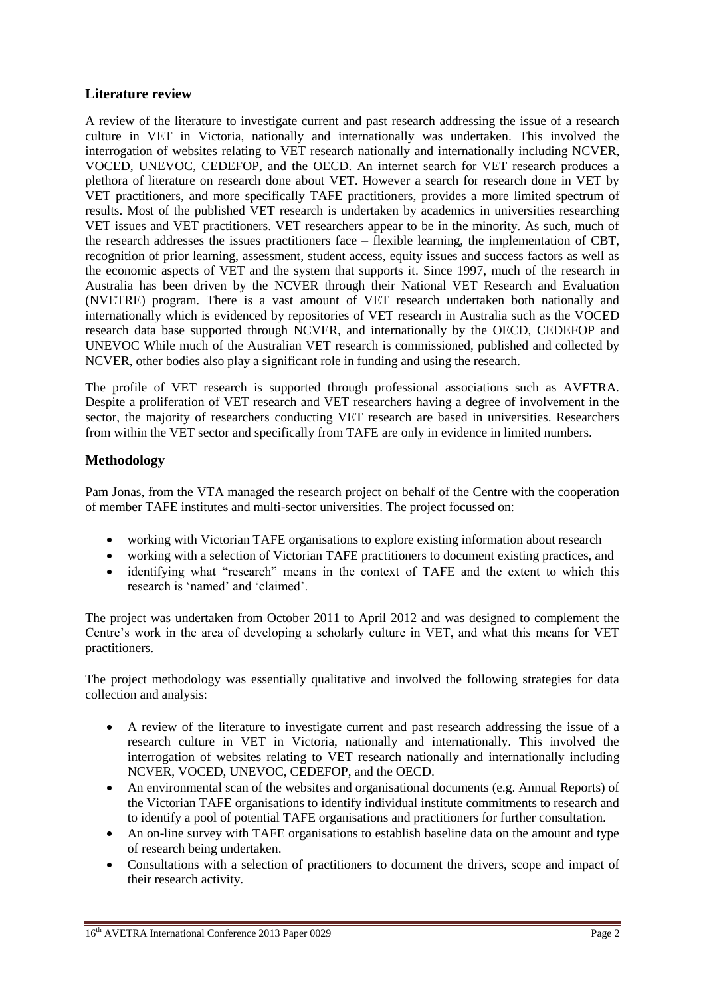# **Literature review**

A review of the literature to investigate current and past research addressing the issue of a research culture in VET in Victoria, nationally and internationally was undertaken. This involved the interrogation of websites relating to VET research nationally and internationally including NCVER, VOCED, UNEVOC, CEDEFOP, and the OECD. An internet search for VET research produces a plethora of literature on research done about VET. However a search for research done in VET by VET practitioners, and more specifically TAFE practitioners, provides a more limited spectrum of results. Most of the published VET research is undertaken by academics in universities researching VET issues and VET practitioners. VET researchers appear to be in the minority. As such, much of the research addresses the issues practitioners face – flexible learning, the implementation of CBT, recognition of prior learning, assessment, student access, equity issues and success factors as well as the economic aspects of VET and the system that supports it. Since 1997, much of the research in Australia has been driven by the NCVER through their National VET Research and Evaluation (NVETRE) program. There is a vast amount of VET research undertaken both nationally and internationally which is evidenced by repositories of VET research in Australia such as the VOCED research data base supported through NCVER, and internationally by the OECD, CEDEFOP and UNEVOC While much of the Australian VET research is commissioned, published and collected by NCVER, other bodies also play a significant role in funding and using the research.

The profile of VET research is supported through professional associations such as AVETRA. Despite a proliferation of VET research and VET researchers having a degree of involvement in the sector, the majority of researchers conducting VET research are based in universities. Researchers from within the VET sector and specifically from TAFE are only in evidence in limited numbers.

#### **Methodology**

Pam Jonas, from the VTA managed the research project on behalf of the Centre with the cooperation of member TAFE institutes and multi-sector universities. The project focussed on:

- working with Victorian TAFE organisations to explore existing information about research
- working with a selection of Victorian TAFE practitioners to document existing practices, and
- identifying what "research" means in the context of TAFE and the extent to which this research is 'named' and 'claimed'.

The project was undertaken from October 2011 to April 2012 and was designed to complement the Centre's work in the area of developing a scholarly culture in VET, and what this means for VET practitioners.

The project methodology was essentially qualitative and involved the following strategies for data collection and analysis:

- A review of the literature to investigate current and past research addressing the issue of a research culture in VET in Victoria, nationally and internationally. This involved the interrogation of websites relating to VET research nationally and internationally including NCVER, VOCED, UNEVOC, CEDEFOP, and the OECD.
- An environmental scan of the websites and organisational documents (e.g. Annual Reports) of the Victorian TAFE organisations to identify individual institute commitments to research and to identify a pool of potential TAFE organisations and practitioners for further consultation.
- An on-line survey with TAFE organisations to establish baseline data on the amount and type of research being undertaken.
- Consultations with a selection of practitioners to document the drivers, scope and impact of their research activity.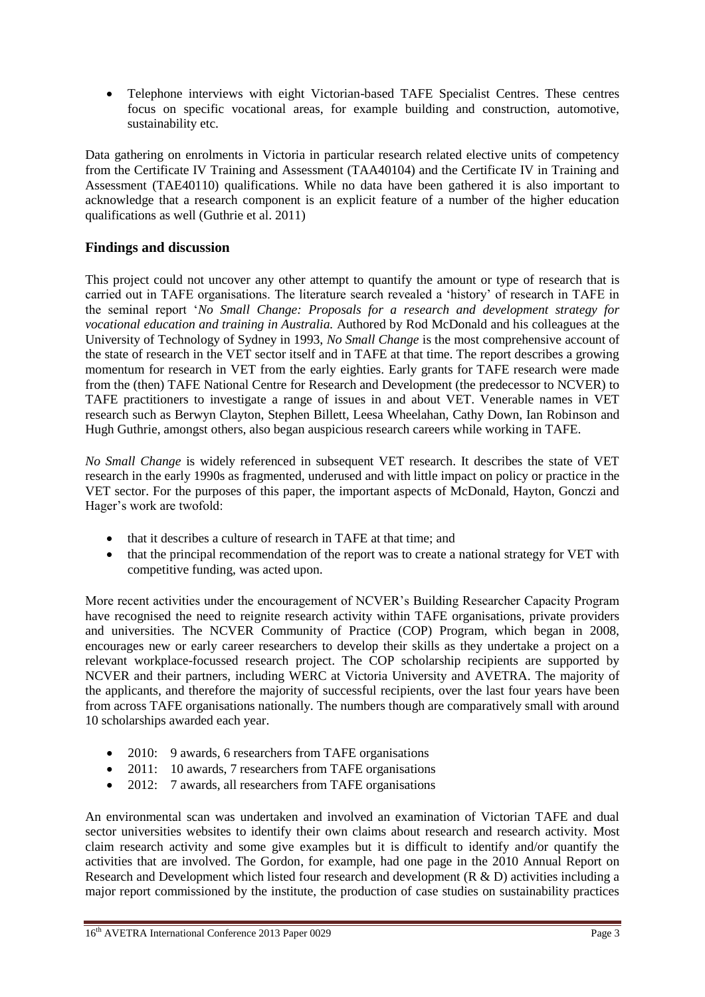Telephone interviews with eight Victorian-based TAFE Specialist Centres. These centres focus on specific vocational areas, for example building and construction, automotive, sustainability etc.

Data gathering on enrolments in Victoria in particular research related elective units of competency from the Certificate IV Training and Assessment (TAA40104) and the Certificate IV in Training and Assessment (TAE40110) qualifications. While no data have been gathered it is also important to acknowledge that a research component is an explicit feature of a number of the higher education qualifications as well (Guthrie et al. 2011)

# **Findings and discussion**

This project could not uncover any other attempt to quantify the amount or type of research that is carried out in TAFE organisations. The literature search revealed a 'history' of research in TAFE in the seminal report '*No Small Change: Proposals for a research and development strategy for vocational education and training in Australia.* Authored by Rod McDonald and his colleagues at the University of Technology of Sydney in 1993, *No Small Change* is the most comprehensive account of the state of research in the VET sector itself and in TAFE at that time. The report describes a growing momentum for research in VET from the early eighties. Early grants for TAFE research were made from the (then) TAFE National Centre for Research and Development (the predecessor to NCVER) to TAFE practitioners to investigate a range of issues in and about VET. Venerable names in VET research such as Berwyn Clayton, Stephen Billett, Leesa Wheelahan, Cathy Down, Ian Robinson and Hugh Guthrie, amongst others, also began auspicious research careers while working in TAFE.

*No Small Change* is widely referenced in subsequent VET research. It describes the state of VET research in the early 1990s as fragmented, underused and with little impact on policy or practice in the VET sector. For the purposes of this paper, the important aspects of McDonald, Hayton, Gonczi and Hager's work are twofold:

- that it describes a culture of research in TAFE at that time; and
- that the principal recommendation of the report was to create a national strategy for VET with competitive funding, was acted upon.

More recent activities under the encouragement of NCVER's Building Researcher Capacity Program have recognised the need to reignite research activity within TAFE organisations, private providers and universities. The NCVER Community of Practice (COP) Program, which began in 2008, encourages new or early career researchers to develop their skills as they undertake a project on a relevant workplace-focussed research project. The COP scholarship recipients are supported by NCVER and their partners, including WERC at Victoria University and AVETRA. The majority of the applicants, and therefore the majority of successful recipients, over the last four years have been from across TAFE organisations nationally. The numbers though are comparatively small with around 10 scholarships awarded each year.

- 2010: 9 awards, 6 researchers from TAFE organisations
- 2011: 10 awards, 7 researchers from TAFE organisations
- 2012: 7 awards, all researchers from TAFE organisations

An environmental scan was undertaken and involved an examination of Victorian TAFE and dual sector universities websites to identify their own claims about research and research activity. Most claim research activity and some give examples but it is difficult to identify and/or quantify the activities that are involved. The Gordon, for example, had one page in the 2010 Annual Report on Research and Development which listed four research and development (R & D) activities including a major report commissioned by the institute, the production of case studies on sustainability practices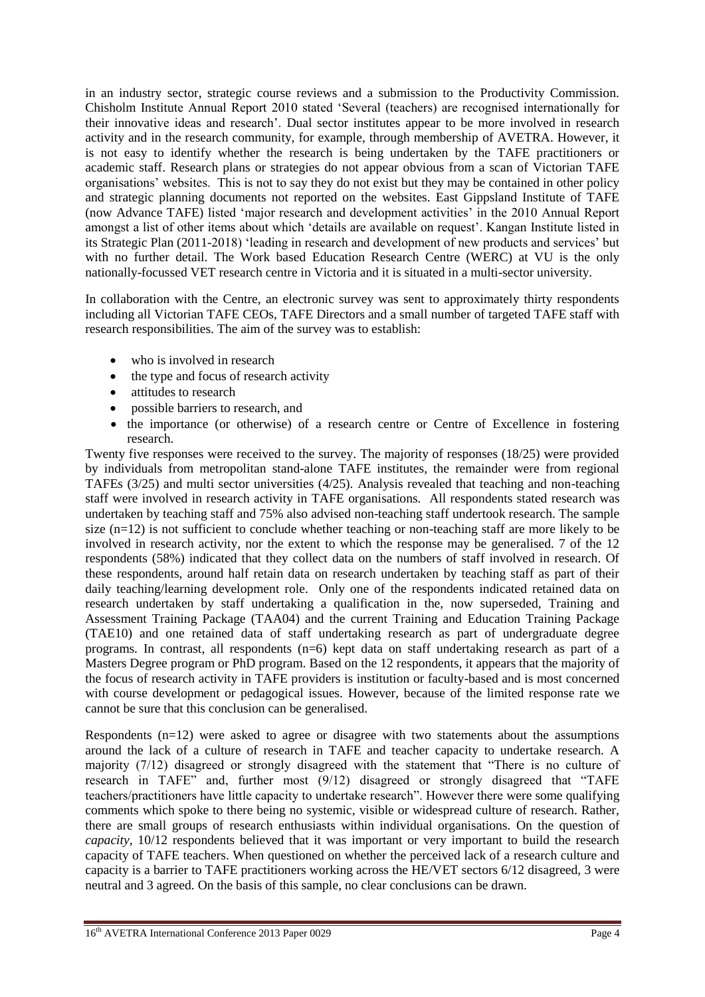in an industry sector, strategic course reviews and a submission to the Productivity Commission. Chisholm Institute Annual Report 2010 stated 'Several (teachers) are recognised internationally for their innovative ideas and research'. Dual sector institutes appear to be more involved in research activity and in the research community, for example, through membership of AVETRA. However, it is not easy to identify whether the research is being undertaken by the TAFE practitioners or academic staff. Research plans or strategies do not appear obvious from a scan of Victorian TAFE organisations' websites. This is not to say they do not exist but they may be contained in other policy and strategic planning documents not reported on the websites. East Gippsland Institute of TAFE (now Advance TAFE) listed 'major research and development activities' in the 2010 Annual Report amongst a list of other items about which 'details are available on request'. Kangan Institute listed in its Strategic Plan (2011-2018) 'leading in research and development of new products and services' but with no further detail. The Work based Education Research Centre (WERC) at VU is the only nationally-focussed VET research centre in Victoria and it is situated in a multi-sector university.

In collaboration with the Centre, an electronic survey was sent to approximately thirty respondents including all Victorian TAFE CEOs, TAFE Directors and a small number of targeted TAFE staff with research responsibilities. The aim of the survey was to establish:

- who is involved in research
- the type and focus of research activity
- attitudes to research
- possible barriers to research, and
- the importance (or otherwise) of a research centre or Centre of Excellence in fostering research.

Twenty five responses were received to the survey. The majority of responses (18/25) were provided by individuals from metropolitan stand-alone TAFE institutes, the remainder were from regional TAFEs (3/25) and multi sector universities (4/25). Analysis revealed that teaching and non-teaching staff were involved in research activity in TAFE organisations. All respondents stated research was undertaken by teaching staff and 75% also advised non-teaching staff undertook research. The sample size  $(n=12)$  is not sufficient to conclude whether teaching or non-teaching staff are more likely to be involved in research activity, nor the extent to which the response may be generalised. 7 of the 12 respondents (58%) indicated that they collect data on the numbers of staff involved in research. Of these respondents, around half retain data on research undertaken by teaching staff as part of their daily teaching/learning development role. Only one of the respondents indicated retained data on research undertaken by staff undertaking a qualification in the, now superseded, Training and Assessment Training Package (TAA04) and the current Training and Education Training Package (TAE10) and one retained data of staff undertaking research as part of undergraduate degree programs. In contrast, all respondents (n=6) kept data on staff undertaking research as part of a Masters Degree program or PhD program. Based on the 12 respondents, it appears that the majority of the focus of research activity in TAFE providers is institution or faculty-based and is most concerned with course development or pedagogical issues. However, because of the limited response rate we cannot be sure that this conclusion can be generalised.

Respondents (n=12) were asked to agree or disagree with two statements about the assumptions around the lack of a culture of research in TAFE and teacher capacity to undertake research. A majority (7/12) disagreed or strongly disagreed with the statement that "There is no culture of research in TAFE" and, further most (9/12) disagreed or strongly disagreed that "TAFE teachers/practitioners have little capacity to undertake research". However there were some qualifying comments which spoke to there being no systemic, visible or widespread culture of research. Rather, there are small groups of research enthusiasts within individual organisations. On the question of *capacity,* 10/12 respondents believed that it was important or very important to build the research capacity of TAFE teachers. When questioned on whether the perceived lack of a research culture and capacity is a barrier to TAFE practitioners working across the HE/VET sectors 6/12 disagreed, 3 were neutral and 3 agreed. On the basis of this sample, no clear conclusions can be drawn.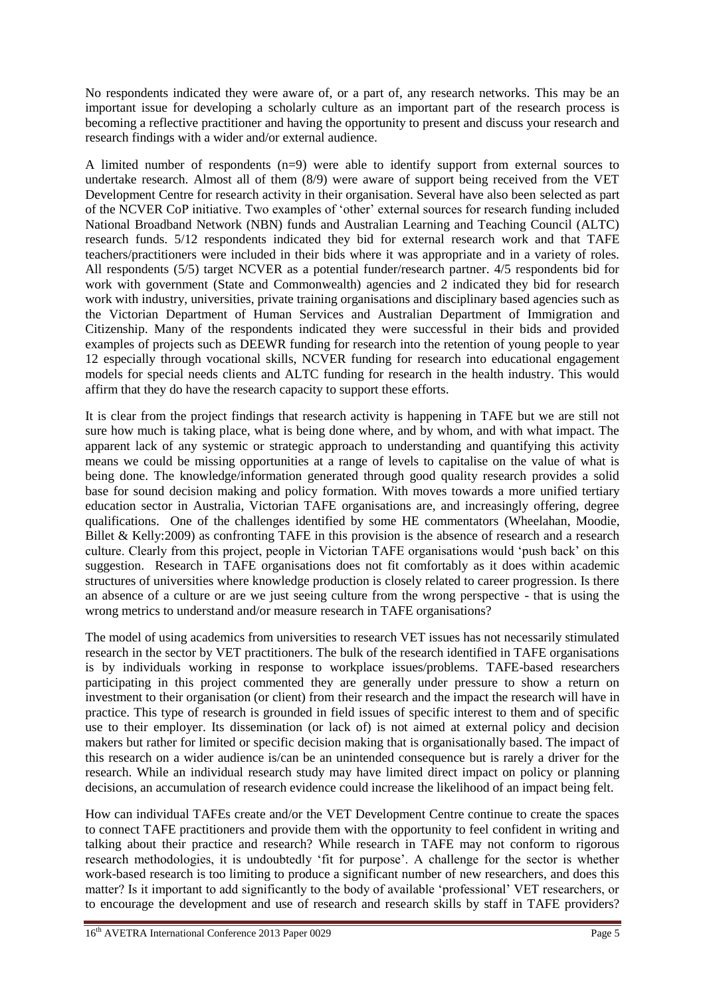No respondents indicated they were aware of, or a part of, any research networks. This may be an important issue for developing a scholarly culture as an important part of the research process is becoming a reflective practitioner and having the opportunity to present and discuss your research and research findings with a wider and/or external audience.

A limited number of respondents  $(n=9)$  were able to identify support from external sources to undertake research. Almost all of them (8/9) were aware of support being received from the VET Development Centre for research activity in their organisation. Several have also been selected as part of the NCVER CoP initiative. Two examples of 'other' external sources for research funding included National Broadband Network (NBN) funds and Australian Learning and Teaching Council (ALTC) research funds. 5/12 respondents indicated they bid for external research work and that TAFE teachers/practitioners were included in their bids where it was appropriate and in a variety of roles. All respondents (5/5) target NCVER as a potential funder/research partner. 4/5 respondents bid for work with government (State and Commonwealth) agencies and 2 indicated they bid for research work with industry, universities, private training organisations and disciplinary based agencies such as the Victorian Department of Human Services and Australian Department of Immigration and Citizenship. Many of the respondents indicated they were successful in their bids and provided examples of projects such as DEEWR funding for research into the retention of young people to year 12 especially through vocational skills, NCVER funding for research into educational engagement models for special needs clients and ALTC funding for research in the health industry. This would affirm that they do have the research capacity to support these efforts.

It is clear from the project findings that research activity is happening in TAFE but we are still not sure how much is taking place, what is being done where, and by whom, and with what impact. The apparent lack of any systemic or strategic approach to understanding and quantifying this activity means we could be missing opportunities at a range of levels to capitalise on the value of what is being done. The knowledge/information generated through good quality research provides a solid base for sound decision making and policy formation. With moves towards a more unified tertiary education sector in Australia, Victorian TAFE organisations are, and increasingly offering, degree qualifications. One of the challenges identified by some HE commentators (Wheelahan, Moodie, Billet & Kelly:2009) as confronting TAFE in this provision is the absence of research and a research culture. Clearly from this project, people in Victorian TAFE organisations would 'push back' on this suggestion. Research in TAFE organisations does not fit comfortably as it does within academic structures of universities where knowledge production is closely related to career progression. Is there an absence of a culture or are we just seeing culture from the wrong perspective - that is using the wrong metrics to understand and/or measure research in TAFE organisations?

The model of using academics from universities to research VET issues has not necessarily stimulated research in the sector by VET practitioners. The bulk of the research identified in TAFE organisations is by individuals working in response to workplace issues/problems. TAFE-based researchers participating in this project commented they are generally under pressure to show a return on investment to their organisation (or client) from their research and the impact the research will have in practice. This type of research is grounded in field issues of specific interest to them and of specific use to their employer. Its dissemination (or lack of) is not aimed at external policy and decision makers but rather for limited or specific decision making that is organisationally based. The impact of this research on a wider audience is/can be an unintended consequence but is rarely a driver for the research. While an individual research study may have limited direct impact on policy or planning decisions, an accumulation of research evidence could increase the likelihood of an impact being felt.

How can individual TAFEs create and/or the VET Development Centre continue to create the spaces to connect TAFE practitioners and provide them with the opportunity to feel confident in writing and talking about their practice and research? While research in TAFE may not conform to rigorous research methodologies, it is undoubtedly 'fit for purpose'. A challenge for the sector is whether work-based research is too limiting to produce a significant number of new researchers, and does this matter? Is it important to add significantly to the body of available 'professional' VET researchers, or to encourage the development and use of research and research skills by staff in TAFE providers?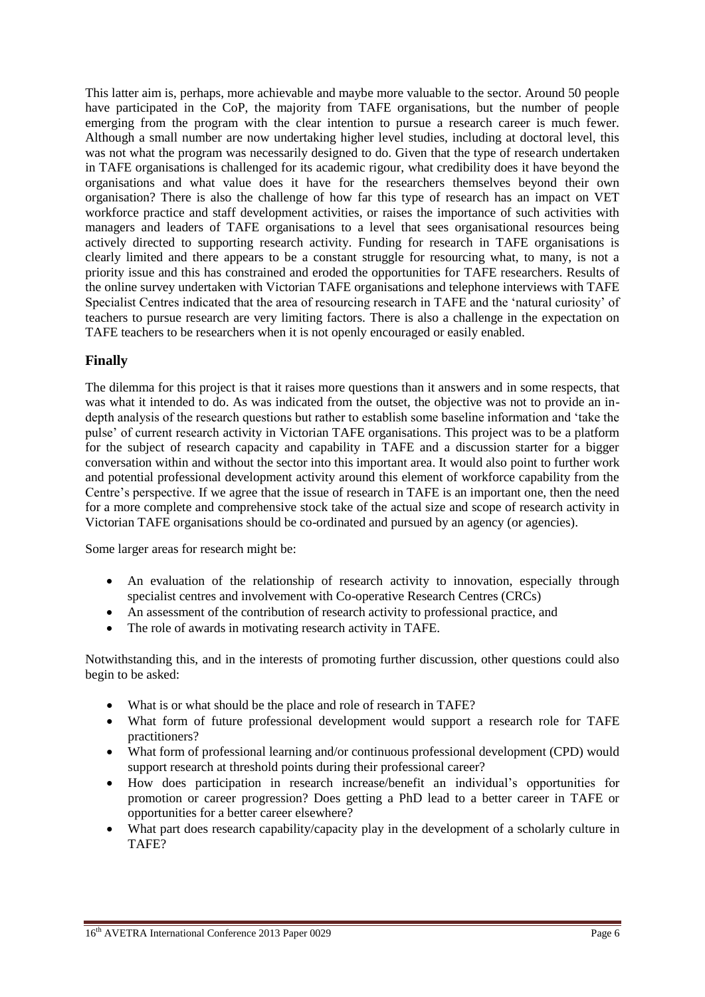This latter aim is, perhaps, more achievable and maybe more valuable to the sector. Around 50 people have participated in the CoP, the majority from TAFE organisations, but the number of people emerging from the program with the clear intention to pursue a research career is much fewer. Although a small number are now undertaking higher level studies, including at doctoral level, this was not what the program was necessarily designed to do. Given that the type of research undertaken in TAFE organisations is challenged for its academic rigour, what credibility does it have beyond the organisations and what value does it have for the researchers themselves beyond their own organisation? There is also the challenge of how far this type of research has an impact on VET workforce practice and staff development activities, or raises the importance of such activities with managers and leaders of TAFE organisations to a level that sees organisational resources being actively directed to supporting research activity. Funding for research in TAFE organisations is clearly limited and there appears to be a constant struggle for resourcing what, to many, is not a priority issue and this has constrained and eroded the opportunities for TAFE researchers. Results of the online survey undertaken with Victorian TAFE organisations and telephone interviews with TAFE Specialist Centres indicated that the area of resourcing research in TAFE and the 'natural curiosity' of teachers to pursue research are very limiting factors. There is also a challenge in the expectation on TAFE teachers to be researchers when it is not openly encouraged or easily enabled.

# **Finally**

The dilemma for this project is that it raises more questions than it answers and in some respects, that was what it intended to do. As was indicated from the outset, the objective was not to provide an indepth analysis of the research questions but rather to establish some baseline information and 'take the pulse' of current research activity in Victorian TAFE organisations. This project was to be a platform for the subject of research capacity and capability in TAFE and a discussion starter for a bigger conversation within and without the sector into this important area. It would also point to further work and potential professional development activity around this element of workforce capability from the Centre's perspective. If we agree that the issue of research in TAFE is an important one, then the need for a more complete and comprehensive stock take of the actual size and scope of research activity in Victorian TAFE organisations should be co-ordinated and pursued by an agency (or agencies).

Some larger areas for research might be:

- An evaluation of the relationship of research activity to innovation, especially through specialist centres and involvement with Co-operative Research Centres (CRCs)
- An assessment of the contribution of research activity to professional practice, and
- The role of awards in motivating research activity in TAFE.

Notwithstanding this, and in the interests of promoting further discussion, other questions could also begin to be asked:

- What is or what should be the place and role of research in TAFE?
- What form of future professional development would support a research role for TAFE practitioners?
- What form of professional learning and/or continuous professional development (CPD) would support research at threshold points during their professional career?
- How does participation in research increase/benefit an individual's opportunities for promotion or career progression? Does getting a PhD lead to a better career in TAFE or opportunities for a better career elsewhere?
- What part does research capability/capacity play in the development of a scholarly culture in TAFE?